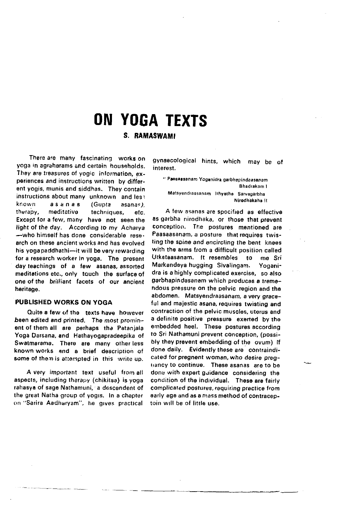# **ON YOGA TEXTS**

## S. RAMASWAMI

There are many fascinating works on voga in agraharams and certain households. They are treasures of yogic information, experiences and instructions written by different yogis, munis and siddhas. They contain instructions about many unknown, and less known asanas (Gunta  $asanes$ therapy. meditative techniques. efc. Except for a few, many have not seen the light of the day. According to my Acharya -who himself has done considerable research on these ancient works and has evolved his yogapaddhathi-it will be very rewarding for a research worker in yoga. The present day teachings of a few asanas assorted meditations etc., only touch the surface of one of the brilliant facets of our ancient heritage.

#### PUBLISHED WORKS ON YOGA

Quite a faw of the texts have however been edited and printed. The most prominent of them all are perhaps the Patanjala Yoga Darsana, and Hathayogapradeepika of Swatmarama. There are many other less known works and a brief description of some of them is attempted in this write up.

A very important text useful from all aspects, including therapy (chikitsa) is yoga rahasya of sage Nathamuni, a descendent of the great Natha group of yogis. In a chapter on "Sarira Aadharyam", he gives practical

gynaecological hints, which may be of interest.

" Paesaasanam Yoganidra garbhapindaasanam Bhadrakam 1 Matsyendraasanam Ithyethe Sarvagarbha Nirodhakaha II

A few asanas are specified as effective as garbha nirodhaka, or those that prevent conception. The postures mentioned are Paasaasanam, a posture that requires twisting the spine and encircling the bent knees with the arms from a difficult position called Utkataasanam, it resembles to me Sri Markandeya hugging Sivalingam. Yoganidra is a highly complicated exercise, so also garbhapindasanam which produces a tremendous pressure on the pelvic region and the abdomen. Matsyendraasanam, a very graceful and majestic asana, requires twisting and contraction of the pelvic muscles, uterus and a definite positive pressure exerted by the embedded heel. These postures according to Sri Nathamuni prevent conception, (possibly they prevent embedding of the ovum) if done daily. Evidently these are contraindicated for pregnent woman, who desire pregtiancy to continue. These asanas are to be done with expert guidance considering the condition of the individual. These are fairly complicated postures, requiring practice from early age and as a mass method of contraceptoin will be of little use.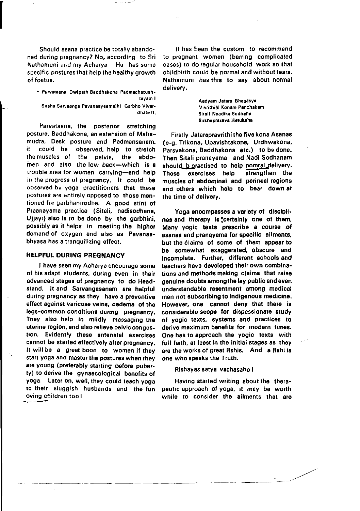Should asana practice be totally abandoned during pregnancy? No, according to Sri Nathamuni and my Acharya He has some specific postures that help the healthy growth of foetus.

" Purvataana Dwipath Baddhakona Padmachatushtayam I Sırsha Sarvaanga Pavanaayaamaihi Garbho Vivardhate II.

Parvataana, the posterior stretching posture. Baddhakona, an extension of Mahamudra. Desk posture and Padmansanam. it could be observed, help to stretch the muscles of the pelvis. the abdomen and also the low back-which is a trouble area for women carrying-and help in the progress of pregnancy. It could be observed by yoga practitioners that these postures are entirely opposed to those mentioned for garbhanirodha. A good stint of Praanayama practice (Sitali, nadisodhana, Uliavi) also is to be done by the garbhini, possibly as it helps in meeting the higher demand of oxygen and also as Pavanaabhyasa has a tranquilizing effect.

#### **HELPFUL DURING PREGNANCY**

I have seen my Acharva encourage some of his adapt students, during even in their advanced stages of pregnancy to do Headstand. It and Sarvangasanam are helpful during pregnancy as they have a preventive effect against varicose veins, oedema of the legs-common conditions during pregnancy. They also help in mildly massaging the uterine region, and also relieve pelvic congestion. Evidently these antenatal exercises cannot be started effectively after pregnancy. It will be a great boon to women if they start yoga and master the postures when they are young (preferably starting before puberty) to derive the gynaecological benefits of yoga. Later on, well, they could teach yoga to their sluggish husbands and the fun oving children too!

It has been the custom to recommend to pregnant women (barring complicated cases) to do regular household work so that childbirth could be normal and without tears. Nathamuni has this to say about normal delivery.

> Aadyam Jatera Bhagasya Vivrithihl Konam Panchakam Sitall Naadika Sudheha Sukhaprasaya Hetukaha

Firstly Jataraprayrithi the five kona Asanas (e-g. Trikona, Upavishtakona, Urdhwakona, Parsyakona, Baddhakona etc.) to be done. Then Sitali pranayama and Nadi Sodhanam should b practised to help nomral delivery. These exercises help strengthen the muscles of abdominal and perineal regions and others which help to bear down at the time of delivery.

Yoga encompasses a variety of disciplines and therapy is tertainly one of them. Many vogic texts prescribe a course of asanas and pranavama for specific ailments. but the claims of some of them appear to be somewhat exaggerated, obscure and incomolete. Further, different schools and teachers have developed their own combinations and methods making claims that raise genuine doubts among the lay public and even understandable resentment among medical men not subscribing to indigenous medicine. However, one cannot deny that there is considerable scope for dispassionate study of vogic texts, systems and practices to derive maximum benefits for modern times. One has to approach the yogic texts with full faith, at least in the initial stages as they are the works of great Rshis. And a Rshi is one who speaks the Truth.

Rishayas satya vachasaha!

Having started writing about the therapeutic approach of yoga, it may be worth while to consider the ailments that are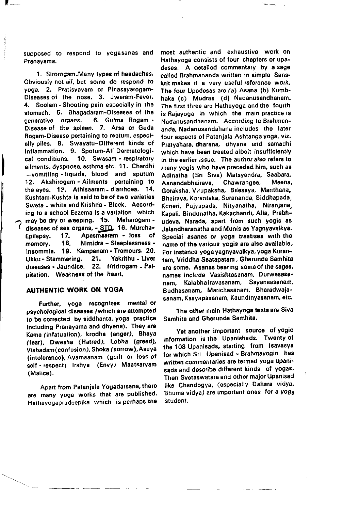supposed to respond to vogasanas and Pranavama.

1. Sirorogam-Many types of headaches. Obviously not all, but some do respond to voga, 2, Pratisyayam or Pinasayarogam-Diseases of the nose. 3. Jwaram-Fever. 4. Soolam - Shooting pain especially in the stomach. 5. Bhagadaram-Diseases of the 6. Gulma Rogam generative organs. Disease of the spleen. 7. Arsa or Guda Rogam-Disease pertaining to rectum, especially piles. 8. Swayatu-Different kinds of Inflammation. 9. Spotum-All Dermatological conditions. 10. Swasam - respiratory ailments, dyspnoea, asthma etc. 11. Chardhi -vomitting - liquids, blood and sputum 12. Akshirogam - Ailments pertaining to the eves. 12. Athisaaram - diarrhoea. 14. Kushtam-Kushta is said to be of two varieties Sweta - white and Krishna - Black. According to a school Eczema is a variation which may be dry or weeping. 15. Meharogam diseases of sex organs, - STD. 16. Murcha-Apasmaaram - loss of Epilepsy. 17. memory. 18. Nirnidra - Sleeplessness -Insommia. 19. Kampanam - Tremours. 20.  $21.$ Yakrithu - Liver Ukku - Stammering. diseases - Jaundice. 22. Hridrogam - Palpitation. Weakness of the heart.

### **AUTHENTIC WORK ON YOGA**

Further, yoga recognizes mental or psychological diseases (which are attempted to be corrected by siddhanta, yoga practice including Pranayama and dhyana). They are Kama (infatuation), krodha (anger), Bhaya (fear), Dwesha (Hatred), Lobha (greed), Vishadam (confusion), Shoka (sorrow), Asuya (intolerance), Avamaanam (guilt or loss of self - respect) Irshya (Envy) Maatsaryam (Malice).

Apart from Patanjala Yogadarsana, there are many yoga works that are published. Hathayogapradeepika which is perhaps the

most authentic and exhaustive work on Hathavoga consists of four chapters or upadesas. A detailed commentary by a sage called Brahmananda written in simple Sanskrit makes it a very useful reference work. The four Upadesas are (a) Asana (b) Kumbhaka (c) Mudras (d) Nadanusandhanam. The first three are Hathayoga and the fourth is Raiavoga in which the main practice is Nadanusandhanam. According to Brahmananda, Nadanusandahana includes the later four aspects of Patanjala Ashtanga yoga, viz. Pratvahara, dharana, dhyana and samadhi which have been treated albeit insufficiently in the earlier issue. The author also refers to many yogis who have preceded him, such as Adinatha (Sri Siva) Matsvendra, Saabara, Aanandabhairava. Chawrangee. Meena. Goraksha, Virupaksha, Bilesaya, Manthana, Bhairaya, Korantaka, Surananda, Siddhapada, Keneri, Pujyapada, Nityanatha, Niranjana, Kapali, Bindunatha, Kakachandi, Alla, Prabhudeva. Narada, apart from such yogis as Jalandharanatha and Munis as Yagnyavalkya. Special asanas or yoga treatises with the name of the various yogis are also available, For instance yoga yagnyavalkya, yoga Kurantam, Vriddha Saatapatam, Gherunda Samhita are some. Asanas bearing some of the sages, names include Vasishtasanam. Durwasasa-Kalabha iravasanam, Savanaasanam. nam Budhasanam, Marichasanam, Bharadwaiasanam, Kasyapasanam, Kaundinyasanam, etc.

The other main Hathayoga texts are Siva Samhita and Gherunda Samhita.

Yet another important source of yogic information is the Upanishads. Twenty of the 108 Upanisads, starting from Isavasya for which Sri Upanisad ~ Brahmayogin has written commentaries are termed yoga upanisads and describe different kinds of yogas. Then Svetaswatara and other major Upanisad like Chandogya, (especially Dahara vidya, Bhuma vidya) are important ones for a yoga student.